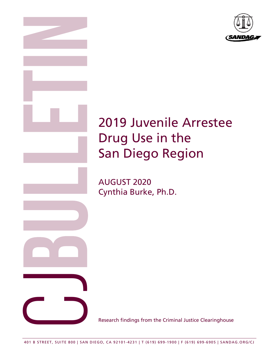

# 2019 Juvenile Arrestee Drug Use in the San Diego Region

AUGUST 2020 Cynthia Burke, Ph.D.

Research findings from the Criminal Justice Clearinghouse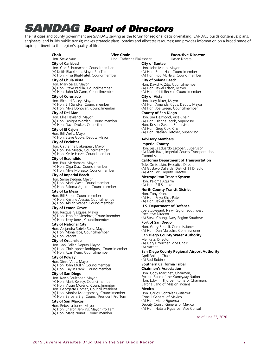## **SANDAG Board of Directors**

The 18 cities and county government are SANDAG serving as the forum for regional decision-making. SANDAG builds consensus; plans, engineers, and builds public transit; makes strategic plans; obtains and allocates resources; and provides information on a broad range of topics pertinent to the region's quality of life.

#### Chair Hon. Steve Vaus

Vice Chair

Hon. Catherine Blakespear

#### **City of Carlsbad**

Hon. Cori Schumacher, Councilmember (A) Keith Blackburn, Mayor Pro Tem (A) Hon. Priya Bhat-Patel, Councilmember

### **City of Chula Vista**

Hon. Mary Salas, Mayor (A) Hon. Steve Padilla, Councilmember (A) Hon. John McCann, Councilmember

#### **City of Coronado**

Hon. Richard Bailey, Mayor (A) Hon. Bill Sandke, Councilmember (A) Hon. Mike Donovan, Councilmember

#### **City of Del Mar**

Hon. Ellie Haviland, Mayor (A) Hon. Dwight Worden, Councilmember (A) Hon. Dave Druker, Councilmember

## **City of El Cajon**

Hon. Bill Wells, Mayor (A) Hon. Steve Goble, Deputy Mayor

### **City of Encinitas**

Hon. Catherine Blakespear, Mayor (A) Hon. Joe Mosca, Councilmember (A) Hon. Kellie Hinze, Councilmember

#### **City of Escondido**

Hon. Paul McNamara, Mayor (A) Hon. Olga Diaz, Councilmember (A) Hon. Mike Morasco, Councilmember

#### **City of Imperial Beach**

Hon. Serge Dedina, Mayor (A) Hon. Mark West, Councilmember (A) Hon. Paloma Aguirre, Councilmember

#### **City of La Mesa**

Hon. Bill Baber, Councilmember (A) Hon. Kristine Alessio, Councilmember (A) Hon. Akilah Weber, Councilmember

#### **City of Lemon Grove**

Hon. Racquel Vasquez, Mayor (A) Hon. Jennifer Mendoza, Councilmember (A) Hon. Jerry Jones, Councilmember

#### **City of National City**

Hon. Alejandra Sotelo-Solis, Mayor (A) Hon. Mona Rios, Councilmember (A) Hon. Vacant

#### **City of Oceanside**

Hon. Jack Feller, Deputy Mayor (A) Hon. Christopher Rodriguez, Councilmember (A) Hon. Ryan Keim, Councilmember

#### **City of Poway**

Hon. Steve Vaus, Mayor (A) Hon. John Mullin, Councilmember (A) Hon. Caylin Frank, Councilmember

#### **City of San Diego**

Hon. Kevin Faulconer, Mayor (A) Hon. Mark Kersey, Councilmember (A) Hon. Vivian Moreno, Councilmember Hon. Georgette Gomez, Council President (A) Hon. Monica Montgomery, Councilmember (A) Hon. Barbara Bry, Council President Pro Tem

#### **City of San Marcos**

Hon. Rebecca Jones, Mayor (A) Hon. Sharon Jenkins, Mayor Pro Tem (A) Hon. Maria Nunez, Councilmember

#### Executive Director Hasan Ikhrata

**City of Santee** Hon. John Minto, Mayor (A) Hon. Ronn Hall, Councilmember (A) Hon. Rob McNelis, Councilmember

#### **City of Solana Beach**

Hon. David A. Zito, Councilmember (A) Hon. Jewel Edson, Mayor (A) Hon. Kristi Becker, Councilmember

#### **City of Vista**

Hon. Judy Ritter, Mayor (A) Hon. Amanda Rigby, Deputy Mayor (A) Hon. Joe Green, Councilmember

### **County of San Diego**

Hon. Jim Desmond, Vice Chair (A) Hon. Dianne Jacob, Supervisor Hon. Kristin Gaspar, Supervisor (A) Hon. Greg Cox, Chair (A) Hon. Nathan Fletcher, Supervisor

#### **Advisory Members**

#### **Imperial County**

Hon. Jesus Eduardo Escobar, Supervisor (A) Mark Baza, Imperial County Transportation Commission

## **California Department of Transportation**

Toks Omishakin, Executive Director (A) Gustavo Dallarda, District 11 Director (A) Ann Fox, Deputy Director

#### **Metropolitan Transit System**

Hon. Paloma Aguirre (A) Hon. Bill Sandke

## **North County Transit District**

Hon. Tony Kranz (A) Hon. Priya Bhat-Patel (A) Hon. Jewel Edson

#### **U.S. Department of Defense**

Joe Stuyvesant, Navy Region Southwest Executive Director (A) Steve Chung, Navy Region Southwest

## **Port of San Diego**

Hon. Garry Bonelli, Commissioner (A) Hon. Dan Malcolm, Commissioner

## **San Diego County Water Authority**

Mel Katz, Director (A) Gary Croucher, Vice Chair (A) Vacant

### **San Diego County Regional Airport Authority** April Boling, Chair

(A) Paul Robinson

#### **Southern California Tribal Chairmen's Association**

Hon. Cody Martinez, Chairman, Sycuan Band of the Kumeyaay Nation Hon. Edwin "Thorpe" Romero, Chairman, Barona Band of Mission Indians

#### **Mexico**

Hon. Carlos González Gutiérrez Cónsul General of Mexico (A) Hon. Mario Figueroa Deputy Cónsul General of Mexico (A) Hon. Natalia Figueroa, Vice Consul

As of June 23, 2020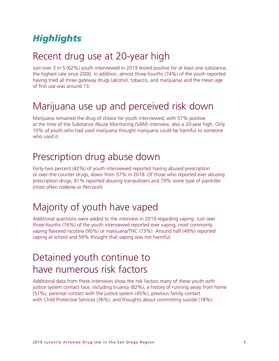## *Highlights*

## Recent drug use at 20-year high

Just over 3 in 5 (62%) youth interviewed in 2019 tested positive for at least one substance, the highest rate since 2000. In addition, almost three-fourths (74%) of the youth reported having tried all three gateway drugs (alcohol, tobacco, and marijuana) and the mean age of first use was around 13.

## Marijuana use up and perceived risk down

Marijuana remained the drug of choice for youth interviewed, with 57% positive at the time of the Substance Abuse Monitoring (SAM) interview, also a 20-year high. Only 10% of youth who had used marijuana thought marijuana could be harmful to someone who used it.

## Prescription drug abuse down

Forty-two percent (42%) of youth interviewed reported having abused prescription or over-the-counter drugs, down from 57% in 2018. Of those who reported ever abusing prescription drugs, 81% reported abusing tranquilizers and 79% some type of painkiller (most often codeine or Percocet).

## Majority of youth have vaped

Additional questions were added to the interview in 2019 regarding vaping. Just over three-fourths (76%) of the youth interviewed reported ever vaping, most commonly vaping flavored nicotine (90%) or marijuana/THC (73%). Around half (49%) reported vaping at school and 59% thought that vaping was not harmful.

## Detained youth continue to have numerous risk factors

Additional data from these interviews show the risk factors many of these youth with justice system contact face, including truancy (82%), a history of running away from home (51%), parental contact with the justice system (45%), previous family contact with Child Protective Services (36%), and thoughts about committing suicide (18%).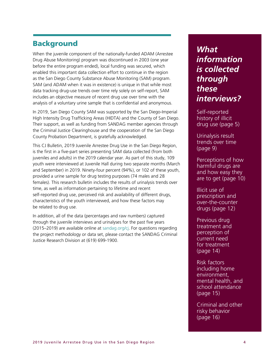## Background

When the juvenile component of the nationally-funded ADAM (Arrestee Drug Abuse Monitoring) program was discontinued in 2003 (one year before the entire program ended), local funding was secured, which enabled this important data collection effort to continue in the region as the San Diego County Substance Abuse Monitoring (SAM) program. SAM (and ADAM when it was in existence) is unique in that while most data tracking drug-use trends over time rely solely on self-report, SAM includes an objective measure of recent drug use over time with the analysis of a voluntary urine sample that is confidential and anonymous.

In 2019, San Diego County SAM was supported by the San Diego-Imperial High Intensity Drug Trafficking Areas (HIDTA) and the County of San Diego. Their support, as well as funding from SANDAG member agencies through the Criminal Justice Clearinghouse and the cooperation of the San Diego County Probation Department, is gratefully acknowledged.

This CJ Bulletin, 2019 Juvenile Arrestee Drug Use in the San Diego Region, is the first in a five-part series presenting SAM data collected (from both juveniles and adults) in the 2019 calendar year. As part of this study, 109 youth were interviewed at Juvenile Hall during two separate months (March and September) in 2019. Ninety-four percent (94%), or 102 of these youth, provided a urine sample for drug testing purposes (74 males and 28 females). This research bulletin includes the results of urinalysis trends over time, as well as information pertaining to lifetime and recent self-reported drug use, perceived risk and availability of different drugs, characteristics of the youth interviewed, and how these factors may be related to drug use.

In addition, all of the data (percentages and raw numbers) captured through the juvenile interviews and urinalyses for the past five years (2015–2019) are available online at [sandag.org/cj.](http://www.sandag.org/cj) For questions regarding the project methodology or data set, please contact the SANDAG Criminal Justice Research Division at (619) 699-1900.

## *What information is collected through these interviews?*

Self-reported history of illicit drug use (page [5\)](#page-4-0)

Urinalysis result trends over time (page [9\)](#page-8-0)

Perceptions of how harmful drugs are and how easy they are to get (page [10\)](#page-9-0)

Illicit use of prescription and over-the-counter drugs (page [12\)](#page-11-0)

Previous drug treatment and perception of current need for treatment (page [14\)](#page-13-0)

Risk factors including home environment, mental health, and school attendance (page [15\)](#page-14-0)

Criminal and other risky behavior (page 16)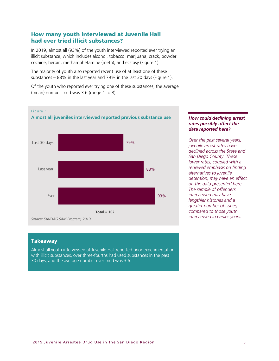## <span id="page-4-0"></span>How many youth interviewed at Juvenile Hall had ever tried illicit substances?

In 2019, almost all (93%) of the youth interviewed reported ever trying an illicit substance, which includes alcohol, tobacco, marijuana, crack, powder cocaine, heroin, methamphetamine (meth), and ecstasy (Figure 1).

The majority of youth also reported recent use of at least one of these substances – 88% in the last year and 79% in the last 30 days (Figure 1).

Of the youth who reported ever trying one of these substances, the average (mean) number tried was 3.6 (range 1 to 8).



## *How could declining arrest rates possibly affect the data reported here?*

*Over the past several years, juvenile arrest rates have declined across the State and San Diego County. These lower rates, coupled with a renewed emphasis on finding alternatives to juvenile detention, may have an effect on the data presented here. The sample of offenders interviewed may have lengthier histories and a greater number of issues, compared to those youth interviewed in earlier years.*

## **Takeaway**

Almost all youth interviewed at Juvenile Hall reported prior experimentation with illicit substances, over three-fourths had used substances in the past 30 days, and the average number ever tried was 3.6.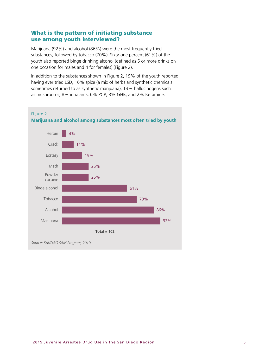## What is the pattern of initiating substance use among youth interviewed?

Marijuana (92%) and alcohol (86%) were the most frequently tried substances, followed by tobacco (70%). Sixty-one percent (61%) of the youth also reported binge drinking alcohol (defined as 5 or more drinks on one occasion for males and 4 for females) (Figure 2).

In addition to the substances shown in Figure 2, 19% of the youth reported having ever tried LSD, 16% spice (a mix of herbs and synthetic chemicals sometimes returned to as synthetic marijuana), 13% hallucinogens such as mushrooms, 8% inhalants, 6% PCP, 3% GHB, and 2% Ketamine.

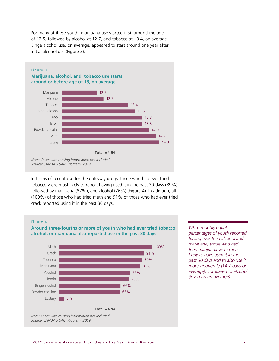For many of these youth, marijuana use started first, around the age of 12.5, followed by alcohol at 12.7, and tobacco at 13.4, on average. Binge alcohol use, on average, appeared to start around one year after initial alcohol use (Figure 3).



In terms of recent use for the gateway drugs, those who had ever tried tobacco were most likely to report having used it in the past 30 days (89%) followed by marijuana (87%), and alcohol (76%) (Figure 4). In addition, all (100%) of those who had tried meth and 91% of those who had ever tried crack reported using it in the past 30 days.

#### Figure 4

## **Around three-fourths or more of youth who had ever tried tobacco, alcohol, or marijuana also reported use in the past 30 days**



*While roughly equal percentages of youth reported having ever tried alcohol and marijuana, those who had tried marijuana were more likely to have used it in the past 30 days and to also use it more frequently (14.7 days on average), compared to alcohol (6.7 days on average).*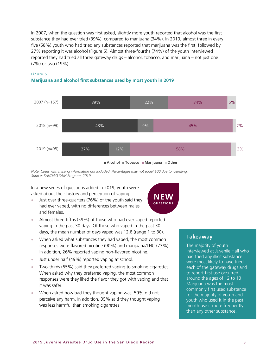In 2007, when the question was first asked, slightly more youth reported that alcohol was the first substance they had ever tried (39%), compared to marijuana (34%). In 2019, almost three in every five (58%) youth who had tried any substances reported that marijuana was the first, followed by 27% reporting it was alcohol (Figure 5). Almost three-fourths (74%) of the youth interviewed reported they had tried all three gateway drugs – alcohol, tobacco, and marijuana – not just one (7%) or two (19%).



## Figure 5

## **Marijuana and alcohol first substances used by most youth in 2019**



*Note: Cases with missing information not included. Percentages may not equal 100 due to rounding. Source: SANDAG SAM Program, 2019*

In a new series of questions added in 2019, youth were asked about their history and perception of vaping.

- Just over three-quarters (76%) of the youth said they had ever vaped, with no differences between males and females.
- Almost three-fifths (59%) of those who had ever vaped reported vaping in the past 30 days. Of those who vaped in the past 30 days, the mean number of days vaped was 12.8 (range 1 to 30).
- When asked what substances they had vaped, the most common responses were flavored nicotine (90%) and marijuana/THC (73%). In addition, 26% reported vaping non-flavored nicotine.
- Just under half (49%) reported vaping at school.
- Two-thirds (65%) said they preferred vaping to smoking cigarettes. When asked why they preferred vaping, the most common responses were they liked the flavor they got with vaping and that it was safer.
- When asked how bad they thought vaping was, 59% did not perceive any harm. In addition, 35% said they thought vaping was less harmful than smoking cigarettes.



## **Takeaway**

The majority of youth interviewed at Juvenile Hall who had tried any illicit substance were most likely to have tried each of the gateway drugs and to report first use occurred around the ages of 12 to 13. Marijuana was the most commonly first used substance for the majority of youth and youth who used it in the past month use it more frequently than any other substance.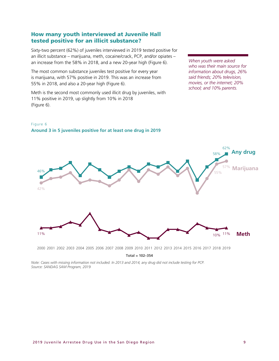## <span id="page-8-0"></span>How many youth interviewed at Juvenile Hall tested positive for an illicit substance?

Sixty-two percent (62%) of juveniles interviewed in 2019 tested positive for an illicit substance – marijuana, meth, cocaine/crack, PCP, and/or opiates – an increase from the 58% in 2018, and a new 20-year high (Figure 6).

The most common substance juveniles test positive for every year is marijuana, with 57% positive in 2019. This was an increase from 55% in 2018, and also a 20-year high (Figure 6).

Meth is the second most commonly used illicit drug by juveniles, with 11% positive in 2019, up slightly from 10% in 2018 (Figure 6).

*When youth were asked who was their main source for information about drugs, 26% said friends; 20% television, movies, or the internet; 20% school; and 10% parents.*



Figure 6 **Around 3 in 5 juveniles positive for at least one drug in 2019**

2000 2001 2002 2003 2004 2005 2006 2007 2008 2009 2010 2011 2012 2013 2014 2015 2016 2017 2018 2019

**Total = 102–354**

*Note: Cases with missing information not included. In 2013 and 2014, any drug did not include testing for PCP. Source: SANDAG SAM Program, 2019*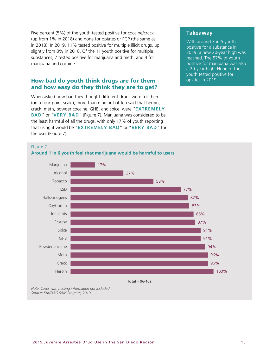Five percent (5%) of the youth tested positive for cocaine/crack (up from 1% in 2018) and none for opiates or PCP (the same as in 2018). In 2019, 11% tested positive for multiple illicit drugs, up slightly from 8% in 2018. Of the 11 youth positive for multiple substances, 7 tested positive for marijuana and meth, and 4 for marijuana and cocaine.

## <span id="page-9-0"></span>How bad do youth think drugs are for them and how easy do they think they are to get?

When asked how bad they thought different drugs were for them (on a four-point scale), more than nine out of ten said that heroin, crack, meth, powder cocaine, GHB, and spice, were "**EXTREMELY BAD**" or "**VERY BAD**" (Figure 7). Marijuana was considered to be the least harmful of all the drugs, with only 17% of youth reporting that using it would be "**EXTREMELY BAD**" or "**VERY BAD**" for the user (Figure 7).

## **Takeaway**

With around 3 in 5 youth positive for a substance in 2019, a new 20-year high was reached. The 57% of youth positive for marijuana was also a 20-year high. None of the youth tested positive for opiates in 2019.

#### Figure 7





*Note: Cases with missing information not included. Source: SANDAG SAM Program, 2019*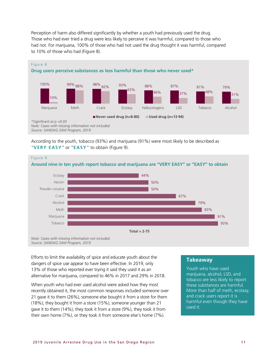Perception of harm also differed significantly by whether a youth had previously used the drug. Those who had ever tried a drug were less likely to perceive it was harmful, compared to those who had not. For marijuana, 100% of those who had not used the drug thought it was harmful, compared to 10% of those who had (Figure 8).



According to the youth, tobacco (93%) and marijuana (91%) were most likely to be described as "**VERY EASY**" or "**EASY**" to obtain (Figure 9).



*Note: Cases with missing information not included. Source: SANDAG SAM Program, 2019*

Efforts to limit the availability of spice and educate youth about the dangers of spice use appear to have been effective. In 2019, only 13% of those who reported ever trying it said they used it as an alternative for marijuana, compared to 46% in 2017 and 29% in 2018.

When youth who had ever used alcohol were asked how they most recently obtained it, the most common responses included someone over 21 gave it to them (26%), someone else bought it from a store for them (18%), they bought it from a store (15%), someone younger than 21 gave it to them (14%), they took it from a store (9%), they took it from their own home (7%), or they took it from someone else's home (7%).

## **Takeaway**

Youth who have used marijuana, alcohol, LSD, and tobacco are less likely to report these substances are harmful. More than half of meth, ecstasy, and crack users report it is harmful even though they have used it.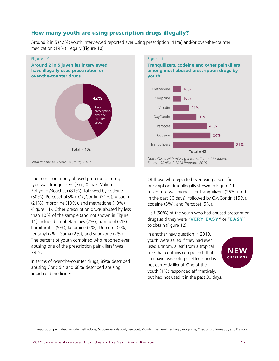## <span id="page-11-0"></span>How many youth are using prescription drugs illegally?

Around 2 in 5 (42%) youth interviewed reported ever using prescription (41%) and/or over-the-counter medication (19%) illegally (Figure 10).







The most commonly abused prescription drug type was tranquilizers (e.g., Xanax, Valium, Rohypnol/Roachas) (81%), followed by codeine (50%), Percocet (45%), OxyContin (31%), Vicodin (21%), morphine (10%), and methadone (10%) (Figure 11). Other prescription drugs abused by less than 10% of the sample (and not shown in Figure 11) included amphetamines (7%), tramadol (5%), barbiturates (5%), ketamine (5%), Demerol (5%), fentanyl (2%), Soma (2%), and suboxone (2%). The percent of youth combined who reported ever abusing one of the prescription painkillers<sup>[1](#page-11-1)</sup> was 79%.

In terms of over-the-counter drugs, 89% described abusing Coricidin and 68% described abusing liquid cold medicines.

Of those who reported ever using a specific prescription drug illegally shown in Figure 11, recent use was highest for tranquilizers (26% used in the past 30 days), followed by OxyContin (15%), codeine (5%), and Percocet (5%).

Half (50%) of the youth who had abused prescription drugs said they were "**VERY EASY**" or "**EASY**" to obtain (Figure 12).

In another new question in 2019, youth were asked if they had ever used Kratom, a leaf from a tropical tree that contains compounds that can have psychotropic effects and is not currently illegal. One of the youth (1%) responded affirmatively, but had not used it in the past 30 days.



<span id="page-11-1"></span><sup>1</sup> Prescription painkillers include methadone, Suboxone, dilaudid, Percocet, Vicodin, Demerol, fentanyl, morphine, OxyContin, tramadol, and Darvon.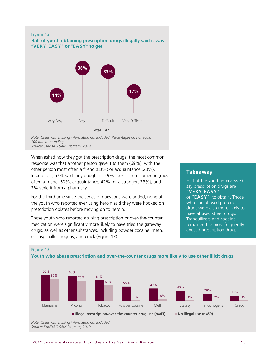#### Figure 12

### **Half of youth obtaining prescription drugs illegally said it was "VERY EASY" or "EASY" to get**



*Note: Cases with missing information not included. Percentages do not equal 100 due to rounding. Source: SANDAG SAM Program, 2019*

When asked how they got the prescription drugs, the most common response was that another person gave it to them (69%), with the other person most often a friend (83%) or acquaintance (28%). In addition, 67% said they bought it, 29% took it from someone (most often a friend, 50%, acquaintance, 42%, or a stranger, 33%), and 7% stole it from a pharmacy.

For the third time since the series of questions were added, none of the youth who reported ever using heroin said they were hooked on prescription opiates before moving on to heroin.

Those youth who reported abusing prescription or over-the-counter medication were significantly more likely to have tried the gateway drugs, as well as other substances, including powder cocaine, meth, ecstasy, hallucinogens, and crack (Figure 13).

## **Takeaway**

Half of the youth interviewed say prescription drugs are "**VERY EASY**" or "**EASY**" to obtain. Those who had abused prescription drugs were also more likely to have abused street drugs. Tranquilizers and codeine remained the most frequently abused prescription drugs.



#### Figure 13

**Youth who abuse prescription and over-the-counter drugs more likely to use other illicit drugs** 

*Note: Cases with missing information not included. Source: SANDAG SAM Program, 2019*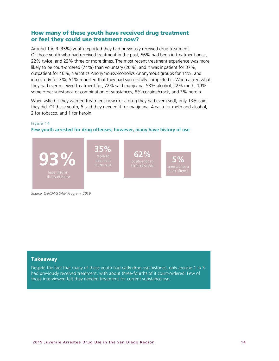## How many of these youth have received drug treatment or feel they could use treatment now?

<span id="page-13-0"></span>Around 1 in 3 (35%) youth reported they had previously received drug treatment. Of those youth who had received treatment in the past, 56% had been in treatment once, 22% twice, and 22% three or more times. The most recent treatment experience was more likely to be court-ordered (74%) than voluntary (26%), and it was inpatient for 37%, outpatient for 46%, Narcotics Anonymous/Alcoholics Anonymous groups for 14%, and in-custody for 3%; 51% reported that they had successfully completed it. When asked what they had ever received treatment for, 72% said marijuana, 53% alcohol, 22% meth, 19% some other substance or combination of substances, 6% cocaine/crack, and 3% heroin.

When asked if they wanted treatment now (for a drug they had ever used), only 13% said they did. Of these youth, 6 said they needed it for marijuana, 4 each for meth and alcohol, 2 for tobacco, and 1 for heroin.

### Figure 14

#### **Few youth arrested for drug offenses; however, many have history of use**



*Source: SANDAG SAM Program, 2019*

## **Takeaway**

Despite the fact that many of these youth had early drug use histories, only around 1 in 3 had previously received treatment, with about three-fourths of it court-ordered. Few of those interviewed felt they needed treatment for current substance use.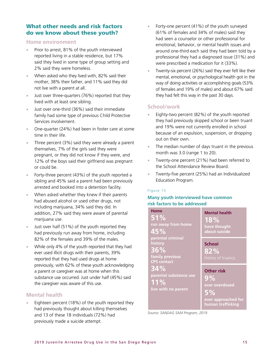## What other needs and risk factors do we know about these youth?

## <span id="page-14-0"></span>**Home environment**

- Prior to arrest, 81% of the youth interviewed reported living in a stable residence, but 17% said they lived in some type of group setting and 2% said they were homeless.
- When asked who they lived with, 82% said their mother, 38% their father, and 11% said they did not live with a parent at all.
- Just over three-quarters (76%) reported that they lived with at least one sibling.
- Just over one-third (36%) said their immediate family had some type of previous Child Protective Services involvement.
- One-quarter (24%) had been in foster care at some time in their life.
- Three percent (3%) said they were already a parent themselves, 7% of the girls said they were pregnant, or they did not know if they were, and 12% of the boys said their girlfriend was pregnant or could be.
- Forty-three percent (43%) of the youth reported a sibling and 45% said a parent had been previously arrested and booked into a detention facility.
- When asked whether they knew if their parents had abused alcohol or used other drugs, not including marijuana, 34% said they did. In addition, 27% said they were aware of parental marijuana use.
- Just over half (51%) of the youth reported they had previously run away from home, including 82% of the females and 39% of the males.
- While only 4% of the youth reported that they had ever used illicit drugs with their parents, 39% reported that they had used drugs at home previously, with 62% of these youth acknowledging a parent or caregiver was at home when this substance use occurred. Just under half (45%) said the caregiver was aware of this use.

## **Mental health**

• Eighteen percent (18%) of the youth reported they had previously thought about killing themselves and 13 of these 18 individuals (72%) had previously made a suicide attempt.

- Forty-one percent (41%) of the youth surveyed (61% of females and 34% of males) said they had seen a counselor or other professional for emotional, behavior, or mental health issues and around one-third each said they had been told by a professional they had a diagnosed issue (31%) and were prescribed a medication for it (33%).
- Twenty-six percent (26%) said they ever felt like their mental, emotional, or psychological health got in the way of doing activities or accomplishing goals (53% of females and 19% of males) and about 67% said they had felt this way in the past 30 days.

## **School/work**

- Eighty-two percent (82%) of the youth reported they had previously skipped school or been truant and 19% were not currently enrolled in school because of an expulsion, suspension, or dropping out on their own.
- The median number of days truant in the previous month was 3.0 (range 1 to 20).
- Twenty-one percent (21%) had been referred to the School Attendance Review Board.
- Twenty-five percent (25%) had an Individualized Education Program.

## Figure 15

## **Many youth interviewed have common risk factors to be addressed**

| <b>Home</b><br>51%<br>run away from home<br>45%                              | <b>Mental health</b><br>18%<br>have thought<br>about suicide                                |
|------------------------------------------------------------------------------|---------------------------------------------------------------------------------------------|
| parental criminal<br>history<br>36%<br>family previous<br><b>CPS</b> contact | <b>School</b><br>82%<br>history of truancy                                                  |
| $34\%$<br>parental substance use<br>11%<br>live with no parent               | <b>Other risk</b><br>9%<br>ever overdosed<br>5%<br>ever approached for<br>human trafficking |

*Source: SANDAG SAM Program, 2019*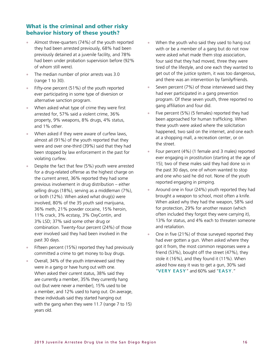## What is the criminal and other risky behavior history of these youth?

- Almost three-quarters (74%) of the youth reported they had been arrested previously, 68% had been previously detained at a juvenile facility, and 78% had been under probation supervision before (92% of whom still were).
- The median number of prior arrests was 3.0 (range 1 to 30).
- Fifty-one percent (51%) of the youth reported ever participating in some type of diversion or alternative sanction program.
- When asked what type of crime they were first arrested for, 57% said a violent crime, 36% property, 9% weapons, 8% drugs, 4% status, and 1% other.
- When asked if they were aware of curfew laws, almost all (91%) of the youth reported that they were and over one-third (39%) said that they had been stopped by law enforcement in the past for violating curfew.
- Despite the fact that few (5%) youth were arrested for a drug-related offense as the highest charge on the current arrest, 36% reported they had some previous involvement in drug distribution – either selling drugs (18%), serving as a middleman (7%), or both (12%). When asked what drug(s) were involved, 80% of the 35 youth said marijuana, 36% meth, 21% powder cocaine, 15% heroin, 11% crack, 3% ecstasy, 3% OxyContin, and 3% LSD; 37% said some other drug or combination. Twenty-four percent (24%) of those ever involved said they had been involved in the past 30 days.
- Fifteen percent (15%) reported they had previously committed a crime to get money to buy drugs.
- Overall, 34% of the youth interviewed said they were in a gang or have hung out with one. When asked their current status, 38% said they are currently a member, 35% they currently hang out (but were never a member), 15% used to be a member, and 12% used to hang out. On average, these individuals said they started hanging out with the gang when they were 11.7 (range 7 to 15) years old.
- When the youth who said they used to hang out with or be a member of a gang but do not now were asked what made them stop association, four said that they had moved, three they were tired of the lifestyle, and one each they wanted to get out of the justice system, it was too dangerous, and there was an intervention by family/friends.
- Seven percent (7%) of those interviewed said they had ever participated in a gang prevention program. Of these seven youth, three reported no gang affiliation and four did.
- Five percent (5%) (5 females) reported they had been approached for human trafficking. When these youth were asked where the solicitation happened, two said on the internet, and one each at a shopping mall, a recreation center, or on the street.
- Four percent (4%) (1 female and 3 males) reported ever engaging in prostitution (starting at the age of 15); two of these males said they had done so in the past 30 days, one of whom wanted to stop and one who said he did not. None of the youth reported engaging in pimping.
- Around one in four (24%) youth reported they had brought a weapon to school, most often a knife. When asked why they had the weapon, 58% said for protection, 29% for another reason (which often included they forgot they were carrying it), 13% for status, and 4% each to threaten someone and retaliation.
- One in five (21%) of those surveyed reported they had ever gotten a gun. When asked where they got it from, the most common responses were a friend (53%), bought off the street (47%), they stole it (16%), and they found it (11%). When asked how easy it was to get a gun, 30% said "**VERY EASY**" and 60% said "**EASY**."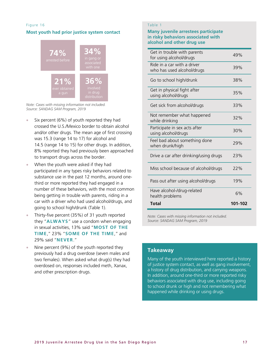### Figure 16

### **Most youth had prior justice system contact**



*Note: Cases with missing information not included. Source: SANDAG SAM Program, 2019*

- Six percent (6%) of youth reported they had crossed the U.S./Mexico border to obtain alcohol and/or other drugs. The mean age of first crossing was 15.3 (range 14 to 17) for alcohol and 14.5 (range 14 to 15) for other drugs. In addition, 8% reported they had previously been approached to transport drugs across the border.
- When the youth were asked if they had participated in any types risky behaviors related to substance use in the past 12 months, around onethird or more reported they had engaged in a number of these behaviors, with the most common being getting in trouble with parents, riding in a car with a driver who had used alcohol/drugs, and going to school high/drunk (Table 1).
- Thirty-five percent (35%) of 31 youth reported they "**ALWAYS**" use a condom when engaging in sexual activities, 13% said "**MOST OF THE TIME**," 23% "**SOME OF THE TIME**," and 29% said "**NEVER**."
- Nine percent (9%) of the youth reported they previously had a drug overdose (seven males and two females). When asked what drug(s) they had overdosed on, responses included meth, Xanax, and other prescription drugs.

## Table 1

### **Many juvenile arrestees participate in risky behaviors associated with alcohol and other drug use**

| Get in trouble with parents<br>for using alcohol/drugs    | 49%     |
|-----------------------------------------------------------|---------|
| Ride in a car with a driver<br>who has used alcohol/drugs | 39%     |
| Go to school high/drunk                                   | 38%     |
| Get in physical fight after<br>using alcohol/drugs        | 35%     |
| Get sick from alcohol/drugs                               | 33%     |
| Not remember what happened<br>while drinking              | 32%     |
| Participate in sex acts after<br>using alcohol/drugs      | 30%     |
| Feel bad about something done<br>when drunk/high          | 29%     |
| Drive a car after drinking/using drugs                    | 23%     |
| Miss school because of alcohol/drugs                      | 22%     |
| Pass out after using alcohol/drugs                        | 19%     |
| Have alcohol-/drug-related<br>health problems             | 6%      |
| Total                                                     | 101-102 |

*Note: Cases with missing information not included. Source: SANDAG SAM Program, 2019*

## **Takeaway**

Many of the youth interviewed here reported a history of justice system contact, as well as gang involvement, a history of drug distribution, and carrying weapons. In addition, around one-third or more reported risky behaviors associated with drug use, including going to school drunk or high and not remembering what happened while drinking or using drugs.